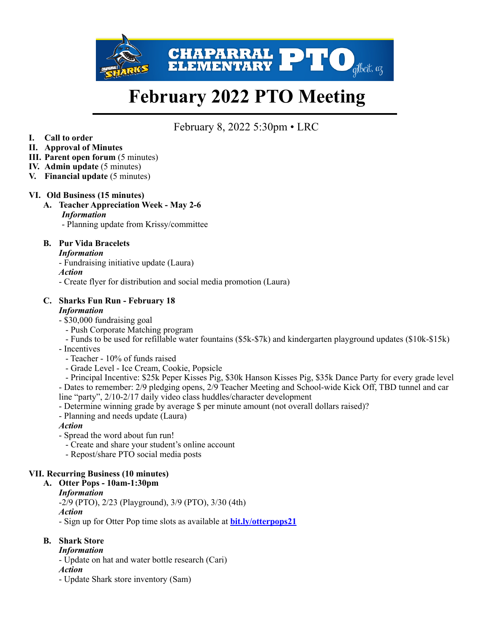

# **February 2022 PTO Meeting**

# February 8, 2022 5:30pm • LRC

**I. Call to order** 

#### **II. Approval of Minutes**

- **III. Parent open forum** (5 minutes)
- **IV. Admin update** (5 minutes)
- **V. Financial update** (5 minutes)

#### **VI. Old Business (15 minutes)**

**A. Teacher Appreciation Week - May 2-6** *Information* 

- Planning update from Krissy/committee

#### **B. Pur Vida Bracelets**

#### *Information*

- Fundraising initiative update (Laura)

*Action*

- Create flyer for distribution and social media promotion (Laura)

#### **C. Sharks Fun Run - February 18**  *Information*

- \$30,000 fundraising goal
	- Push Corporate Matching program

- Funds to be used for refillable water fountains (\$5k-\$7k) and kindergarten playground updates (\$10k-\$15k)

- Incentives
	- Teacher 10% of funds raised
	- Grade Level Ice Cream, Cookie, Popsicle

 - Principal Incentive: \$25k Peper Kisses Pig, \$30k Hanson Kisses Pig, \$35k Dance Party for every grade level - Dates to remember: 2/9 pledging opens, 2/9 Teacher Meeting and School-wide Kick Off, TBD tunnel and car line "party", 2/10-2/17 daily video class huddles/character development

- Determine winning grade by average \$ per minute amount (not overall dollars raised)?
- Planning and needs update (Laura)

#### *Action*

- Spread the word about fun run!
	- Create and share your student's online account
	- Repost/share PTO social media posts

#### **VII. Recurring Business (10 minutes)**

#### **A. Otter Pops - 10am-1:30pm**

#### *Information*

-2/9 (PTO), 2/23 (Playground), 3/9 (PTO), 3/30 (4th)

#### *Action*

- Sign up for Otter Pop time slots as available at **[bit.ly/otterpops21](http://bit.ly/otterpops21)**

#### **B. Shark Store**

- *Information*
- Update on hat and water bottle research (Cari)
- *Action*
- Update Shark store inventory (Sam)